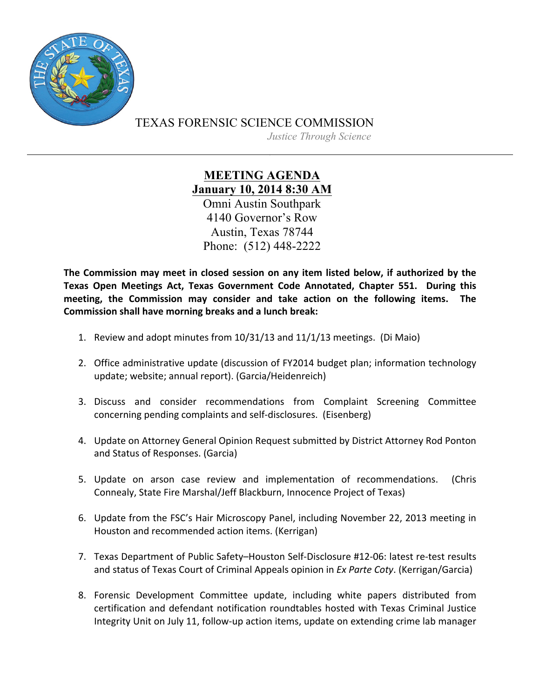

TEXAS FORENSIC SCIENCE COMMISSION

*Justice Through Science*

**MEETING AGENDA January 10, 2014 8:30 AM** Omni Austin Southpark 4140 Governor's Row Austin, Texas 78744 Phone: (512) 448-2222

The Commission may meet in closed session on any item listed below, if authorized by the Texas Open Meetings Act, Texas Government Code Annotated, Chapter 551. During this meeting, the Commission may consider and take action on the following items. The **Commission shall have morning breaks and a lunch break:** 

- 1. Review and adopt minutes from 10/31/13 and 11/1/13 meetings. (Di Maio)
- 2. Office administrative update (discussion of FY2014 budget plan; information technology update; website; annual report). (Garcia/Heidenreich)
- 3. Discuss and consider recommendations from Complaint Screening Committee concerning pending complaints and self-disclosures. (Eisenberg)
- 4. Update on Attorney General Opinion Request submitted by District Attorney Rod Ponton and Status of Responses. (Garcia)
- 5. Update on arson case review and implementation of recommendations. (Chris Connealy, State Fire Marshal/Jeff Blackburn, Innocence Project of Texas)
- 6. Update from the FSC's Hair Microscopy Panel, including November 22, 2013 meeting in Houston and recommended action items. (Kerrigan)
- 7. Texas Department of Public Safety-Houston Self-Disclosure #12-06: latest re-test results and status of Texas Court of Criminal Appeals opinion in *Ex Parte Coty*. (Kerrigan/Garcia)
- 8. Forensic Development Committee update, including white papers distributed from certification and defendant notification roundtables hosted with Texas Criminal Justice Integrity Unit on July 11, follow-up action items, update on extending crime lab manager